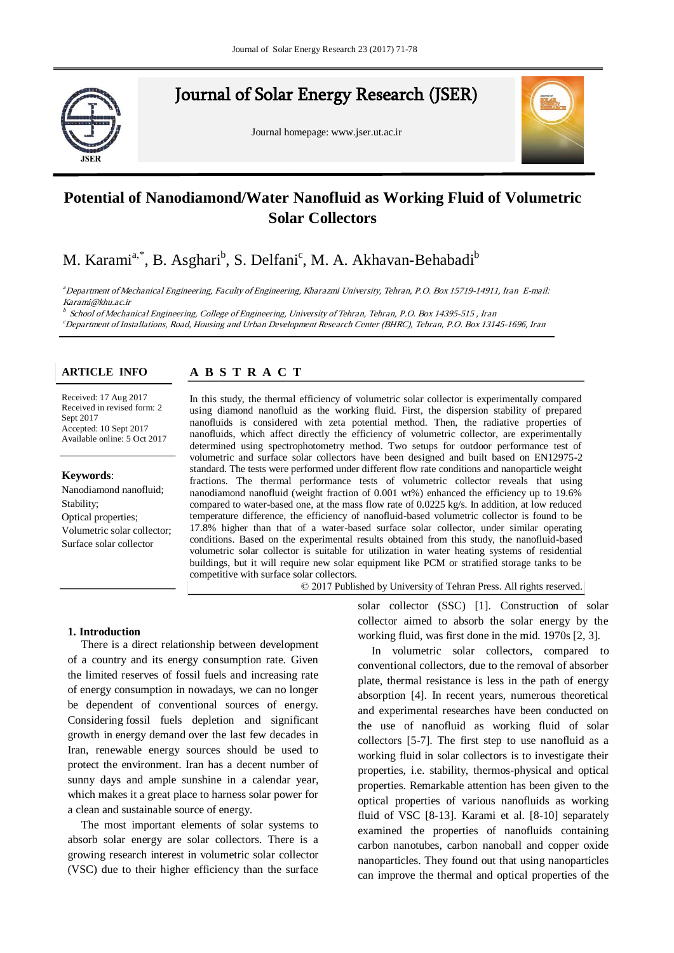

# Journal of Solar Energy Research (JSER)

Journal homepage: www.jser.ut.ac.ir



## **Collectors Potential of Nanodiamond/Water Nanofluid as Working Fluid of Volumetric**

# M. Karami<sup>a,\*</sup>, B. Asghari<sup>b</sup>, S. Delfani<sup>c</sup>, M. A. Akhavan-Behabadi<sup>b</sup>

Department of Mechanical Engineering, Faculty of Engineering, Kharazmi University, Tehran, P.O. Box 15719-14911, Iran E-mail: b Second affiliation, Address, City and Postcode, Country Karami@khu.ac.ir

b School of Mechanical Engineering, College of Engineering, University of Tehran, Tehran, P.O. Box 14395-515 , Iran <sup>c</sup>Department of Installations, Road, Housing and Urban Development Research Center (BHRC), Tehran, P.O. Box 13145-1696, Iran

#### **ARTICLE INFO ARTICLE INFO**

#### **A** B S T R A C T R A C T **A B S T R A C T**

Received: 17 Aug 2017 Received in revised form: 2 **Keywords**: Available online: 5 Oct 2017 Sept 2017 Accepted: 10 Sept 2017

### **Keywords:**

separated by the band of the separated by the separated by the separated by the separated by the separated by the separated by the separated by the separated by the separated by the separated by the separated by the separa Nanodiamond nanofluid;<br>Servitic Stability; Optical properties; Volumetric solar collector; Surface solar collector

In this study, the thermal efficiency of volumetric solar collector is experimentally compared using diamond nanofluid as the working fluid. First, the dispersion stability of prepared nanofluids is considered with zeta potential method. Then, the radiative properties of nanofluids, which affect directly the efficiency of volumetric collector, are experimentally determined using spectrophotometry method. Two setups for outdoor performance test of volumetric and surface solar collectors have been designed and built based on EN12975-2 standard. The tests were performed under different flow rate conditions and nanoparticle weight fractions. The thermal performance tests of volumetric collector reveals that using nanodiamond nanofluid (weight fraction of 0.001 wt%) enhanced the efficiency up to 19.6% compared to water-based one, at the mass flow rate of 0.0225 kg/s. In addition, at low reduced temperature difference, the efficiency of nanofluid-based volumetric collector is found to be 17.8% higher than that of a water-based surface solar collector, under similar operating buildings, but it will require new solar equipment like PCM or stratified storage tanks to be conditions. Based on the experimental results obtained from this study, the nanofluid-based volumetric solar collector is suitable for utilization in water heating systems of residential competitive with surface solar collectors.

© 2017 Published by University of Tehran Press. All rights reserved.

#### **1. Introduction**

There is a direct relationship between development of a country and its energy consumption rate. Given the limited reserves of fossil fuels and increasing rate of energy consumption in nowadays, we can no longer be dependent of conventional sources of energy. Considering fossil fuels depletion and significant growth in energy demand over the last few decades in Iran, renewable energy sources should be used to protect the environment. Iran has a decent number of sunny days and ample sunshine in a calendar year, which makes it a great place to harness solar power for a clean and sustainable source of energy.

The most important elements of solar systems to absorb solar energy are solar collectors. There is a growing research interest in volumetric solar collector (VSC) due to their higher efficiency than the surface

solar collector (SSC) [1]. Construction of solar collector aimed to absorb the solar energy by the working fluid, was first done in the mid. 1970s [2, 3].

In volumetric solar collectors, compared to conventional collectors, due to the removal of absorber plate, thermal resistance is less in the path of energy absorption [4]. In recent years, numerous theoretical and experimental researches have been conducted on the use of nanofluid as working fluid of solar collectors [5-7]. The first step to use nanofluid as a working fluid in solar collectors is to investigate their properties, i.e. stability, thermos-physical and optical properties. Remarkable attention has been given to the optical properties of various nanofluids as working fluid of VSC [8-13]. Karami et al. [8-10] separately examined the properties of nanofluids containing carbon nanotubes, carbon nanoball and copper oxide nanoparticles. They found out that using nanoparticles can improve the thermal and optical properties of the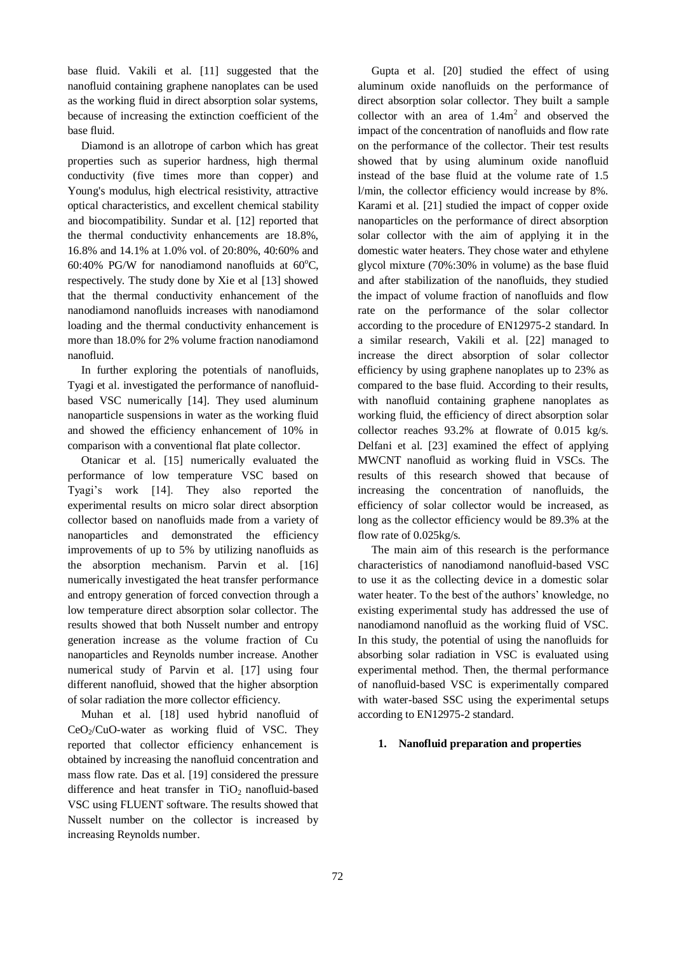base fluid. Vakili et al. [11] suggested that the nanofluid containing graphene nanoplates can be used as the working fluid in direct absorption solar systems, because of increasing the extinction coefficient of the base fluid.

Diamond is an allotrope of carbon which has great properties such as superior hardness, high thermal conductivity (five times more than copper) and Young's modulus, high electrical resistivity, attractive optical characteristics, and excellent chemical stability and biocompatibility. Sundar et al. [12] reported that the thermal conductivity enhancements are 18.8%, 16.8% and 14.1% at 1.0% vol. of 20:80%, 40:60% and 60:40% PG/W for nanodiamond nanofluids at  $60^{\circ}$ C, respectively. The study done by Xie et al [13] showed that the thermal conductivity enhancement of the nanodiamond nanofluids increases with nanodiamond loading and the thermal conductivity enhancement is more than 18.0% for 2% volume fraction nanodiamond nanofluid.

In further exploring the potentials of nanofluids, Tyagi et al. investigated the performance of nanofluidbased VSC numerically [14]. They used aluminum nanoparticle suspensions in water as the working fluid and showed the efficiency enhancement of 10% in comparison with a conventional flat plate collector.

Otanicar et al. [15] numerically evaluated the performance of low temperature VSC based on Tyagi's work [14]. They also reported the experimental results on micro solar direct absorption collector based on nanofluids made from a variety of nanoparticles and demonstrated the efficiency improvements of up to 5% by utilizing nanofluids as the absorption mechanism. Parvin et al. [16] numerically investigated the heat transfer performance and entropy generation of forced convection through a low temperature direct absorption solar collector. The results showed that both Nusselt number and entropy generation increase as the volume fraction of Cu nanoparticles and Reynolds number increase. Another numerical study of Parvin et al. [17] using four different nanofluid, showed that the higher absorption of solar radiation the more collector efficiency.

Muhan et al. [18] used hybrid nanofluid of  $CeO<sub>2</sub>/CuO$ -water as working fluid of VSC. They reported that collector efficiency enhancement is obtained by increasing the nanofluid concentration and mass flow rate. Das et al. [19] considered the pressure difference and heat transfer in  $TiO<sub>2</sub>$  nanofluid-based VSC using FLUENT software. The results showed that Nusselt number on the collector is increased by increasing Reynolds number.

Gupta et al. [20] studied the effect of using aluminum oxide nanofluids on the performance of direct absorption solar collector. They built a sample collector with an area of  $1.4m<sup>2</sup>$  and observed the impact of the concentration of nanofluids and flow rate on the performance of the collector. Their test results showed that by using aluminum oxide nanofluid instead of the base fluid at the volume rate of 1.5 l/min, the collector efficiency would increase by 8%. Karami et al. [21] studied the impact of copper oxide nanoparticles on the performance of direct absorption solar collector with the aim of applying it in the domestic water heaters. They chose water and ethylene glycol mixture (70%:30% in volume) as the base fluid and after stabilization of the nanofluids, they studied the impact of volume fraction of nanofluids and flow rate on the performance of the solar collector according to the procedure of EN12975-2 standard. In a similar research, Vakili et al. [22] managed to increase the direct absorption of solar collector efficiency by using graphene nanoplates up to 23% as compared to the base fluid. According to their results, with nanofluid containing graphene nanoplates as working fluid, the efficiency of direct absorption solar collector reaches 93.2% at flowrate of 0.015 kg/s. Delfani et al. [23] examined the effect of applying MWCNT nanofluid as working fluid in VSCs. The results of this research showed that because of increasing the concentration of nanofluids, the efficiency of solar collector would be increased, as long as the collector efficiency would be 89.3% at the flow rate of 0.025kg/s.

The main aim of this research is the performance characteristics of nanodiamond nanofluid-based VSC to use it as the collecting device in a domestic solar water heater. To the best of the authors' knowledge, no existing experimental study has addressed the use of nanodiamond nanofluid as the working fluid of VSC. In this study, the potential of using the nanofluids for absorbing solar radiation in VSC is evaluated using experimental method. Then, the thermal performance of nanofluid-based VSC is experimentally compared with water-based SSC using the experimental setups according to EN12975-2 standard.

#### **1. Nanofluid preparation and properties**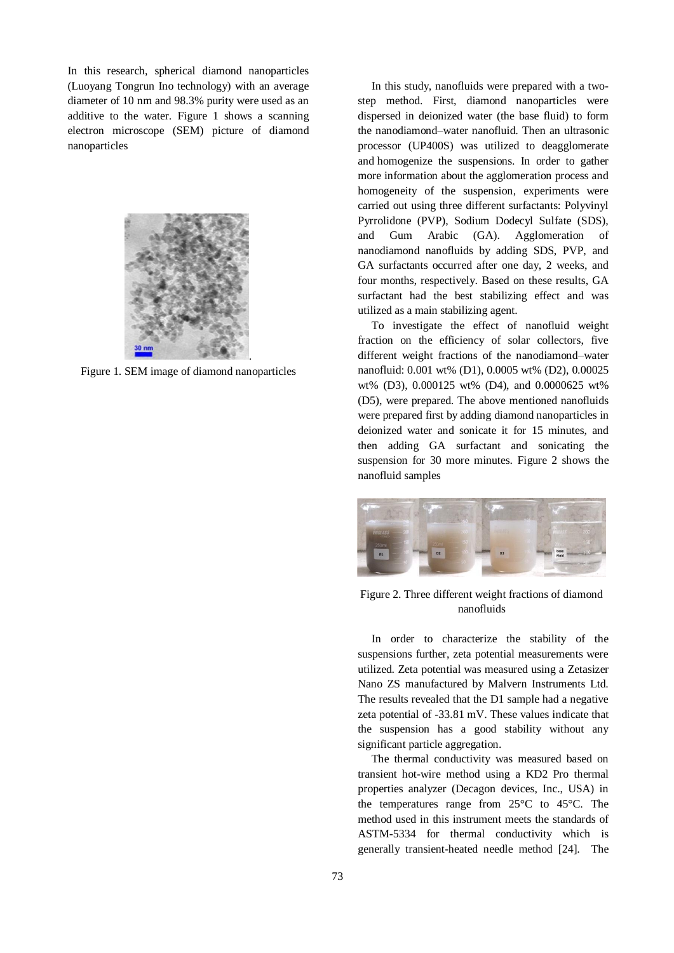In this research, spherical diamond nanoparticles (Luoyang Tongrun Ino technology) with an average diameter of 10 nm and 98.3% purity were used as an additive to the water. Figure 1 shows a scanning electron microscope (SEM) picture of diamond nanoparticles



Figure 1. SEM image of diamond nanoparticles

In this study, nanofluids were prepared with a twostep method. First, diamond nanoparticles were dispersed in deionized water (the base fluid) to form the nanodiamond–water nanofluid. Then an ultrasonic processor (UP400S) was utilized to deagglomerate and homogenize the suspensions. In order to gather more information about the agglomeration process and homogeneity of the suspension, experiments were carried out using three different surfactants: Polyvinyl Pyrrolidone (PVP), Sodium Dodecyl Sulfate (SDS), and Gum Arabic (GA). Agglomeration of nanodiamond nanofluids by adding SDS, PVP, and GA surfactants occurred after one day, 2 weeks, and four months, respectively. Based on these results, GA surfactant had the best stabilizing effect and was utilized as a main stabilizing agent.

To investigate the effect of nanofluid weight fraction on the efficiency of solar collectors, five different weight fractions of the nanodiamond–water nanofluid: 0.001 wt% (D1), 0.0005 wt% (D2), 0.00025 wt% (D3), 0.000125 wt% (D4), and 0.0000625 wt% (D5), were prepared. The above mentioned nanofluids were prepared first by adding diamond nanoparticles in deionized water and sonicate it for 15 minutes, and then adding GA surfactant and sonicating the suspension for 30 more minutes. Figure 2 shows the nanofluid samples



Figure 2. Three different weight fractions of diamond nanofluids

In order to characterize the stability of the suspensions further, zeta potential measurements were utilized. Zeta potential was measured using a Zetasizer Nano ZS manufactured by Malvern Instruments Ltd. The results revealed that the D1 sample had a negative zeta potential of -33.81 mV. These values indicate that the suspension has a good stability without any significant particle aggregation.

The thermal conductivity was measured based on transient hot-wire method using a KD2 Pro thermal properties analyzer (Decagon devices, Inc., USA) in the temperatures range from 25°C to 45°C. The method used in this instrument meets the standards of ASTM-5334 for thermal conductivity which is generally transient-heated needle method [24]. The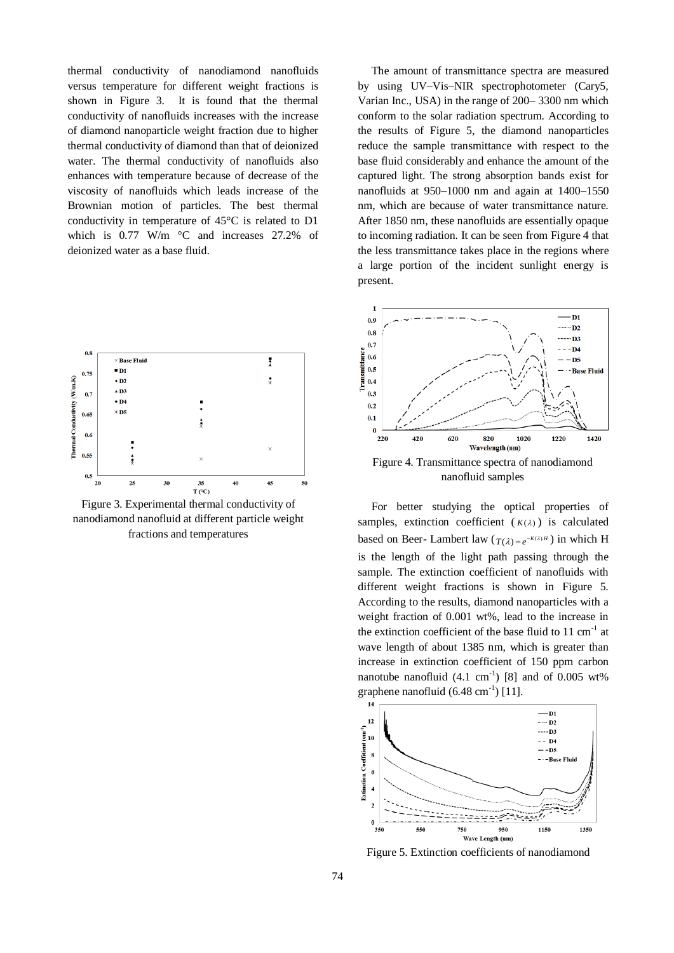thermal conductivity of nanodiamond nanofluids versus temperature for different weight fractions is shown in Figure 3. It is found that the thermal conductivity of nanofluids increases with the increase of diamond nanoparticle weight fraction due to higher thermal conductivity of diamond than that of deionized water. The thermal conductivity of nanofluids also enhances with temperature because of decrease of the viscosity of nanofluids which leads increase of the Brownian motion of particles. The best thermal conductivity in temperature of 45°C is related to D1 which is 0.77 W/m °C and increases 27.2% of deionized water as a base fluid.



Figure 3. Experimental thermal conductivity of nanodiamond nanofluid at different particle weight fractions and temperatures

The amount of transmittance spectra are measured by using UV–Vis–NIR spectrophotometer (Cary5, Varian Inc., USA) in the range of 200– 3300 nm which conform to the solar radiation spectrum. According to the results of Figure 5, the diamond nanoparticles reduce the sample transmittance with respect to the base fluid considerably and enhance the amount of the captured light. The strong absorption bands exist for nanofluids at 950–1000 nm and again at 1400–1550 nm, which are because of water transmittance nature. After 1850 nm, these nanofluids are essentially opaque to incoming radiation. It can be seen from Figure 4 that the less transmittance takes place in the regions where a large portion of the incident sunlight energy is present.



For better studying the optical properties of samples, extinction coefficient  $(K(\lambda))$  is calculated based on Beer- Lambert law  $(T(\lambda)) = e^{-K(\lambda)H}$  in which H is the length of the light path passing through the sample. The extinction coefficient of nanofluids with different weight fractions is shown in Figure 5. According to the results, diamond nanoparticles with a weight fraction of 0.001 wt%, lead to the increase in the extinction coefficient of the base fluid to  $11 \text{ cm}^{-1}$  at wave length of about 1385 nm, which is greater than increase in extinction coefficient of 150 ppm carbon nanotube nanofluid  $(4.1 \text{ cm}^{-1})$  [8] and of 0.005 wt% graphene nanofluid  $(6.48 \text{ cm}^{-1})$  [11].



Figure 5. Extinction coefficients of nanodiamond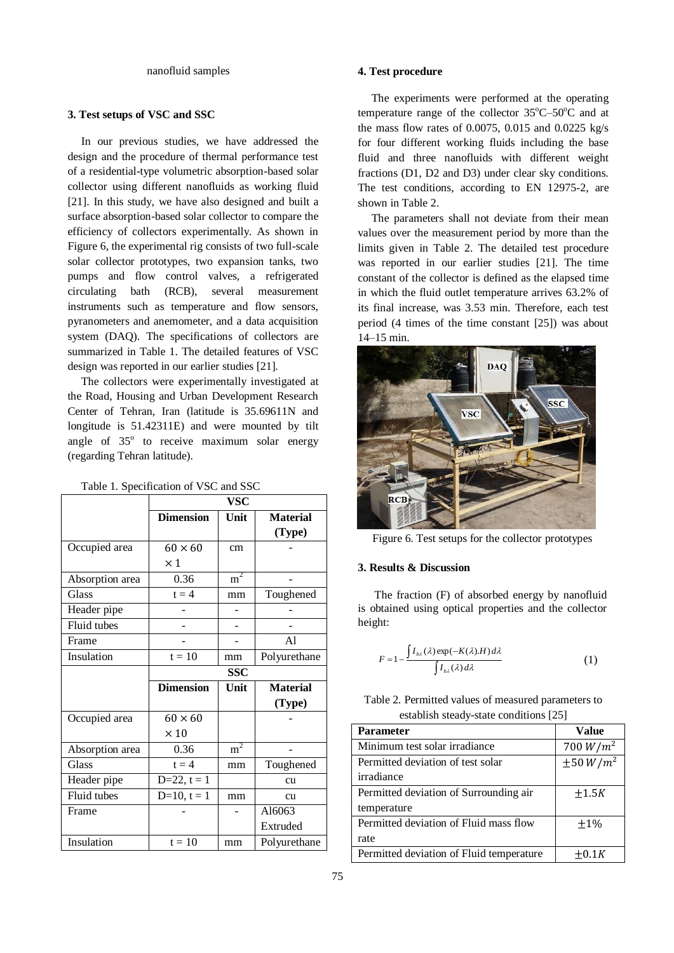#### nanofluid samples

#### **3. Test setups of VSC and SSC**

In our previous studies, we have addressed the design and the procedure of thermal performance test of a residential-type volumetric absorption-based solar collector using different nanofluids as working fluid [21]. In this study, we have also designed and built a surface absorption-based solar collector to compare the efficiency of collectors experimentally. As shown in Figure 6, the experimental rig consists of two full-scale solar collector prototypes, two expansion tanks, two pumps and flow control valves, a refrigerated circulating bath (RCB), several measurement instruments such as temperature and flow sensors, pyranometers and anemometer, and a data acquisition system (DAQ). The specifications of collectors are summarized in Table 1. The detailed features of VSC design was reported in our earlier studies [21].

The collectors were experimentally investigated at the Road, Housing and Urban Development Research Center of Tehran, Iran (latitude is 35.69611N and longitude is 51.42311E) and were mounted by tilt angle of  $35^{\circ}$  to receive maximum solar energy (regarding Tehran latitude).

|                 | <b>VSC</b>       |                |                 |  |  |
|-----------------|------------------|----------------|-----------------|--|--|
|                 | <b>Dimension</b> | Unit           | <b>Material</b> |  |  |
|                 |                  |                | (Type)          |  |  |
| Occupied area   | $60 \times 60$   | cm             |                 |  |  |
|                 | $\times$ 1       |                |                 |  |  |
| Absorption area | 0.36             | $m^2$          |                 |  |  |
| <b>Glass</b>    | $t = 4$          | mm             | Toughened       |  |  |
| Header pipe     |                  |                |                 |  |  |
| Fluid tubes     |                  |                |                 |  |  |
| Frame           |                  |                | A1              |  |  |
| Insulation      | $t = 10$         | mm             | Polyurethane    |  |  |
|                 |                  | <b>SSC</b>     |                 |  |  |
|                 | <b>Dimension</b> | Unit           | <b>Material</b> |  |  |
|                 |                  |                | (Type)          |  |  |
| Occupied area   | $60 \times 60$   |                |                 |  |  |
|                 | $\times$ 10      |                |                 |  |  |
| Absorption area | 0.36             | m <sup>2</sup> |                 |  |  |
| <b>Glass</b>    | $t = 4$          | mm             | Toughened       |  |  |
| Header pipe     | $D=22, t=1$      |                | cu              |  |  |
| Fluid tubes     | $D=10, t=1$      | mm             | cu              |  |  |
| Frame           |                  |                | Al6063          |  |  |
|                 |                  |                | Extruded        |  |  |
| Insulation      | $t = 10$         | mm             | Polyurethane    |  |  |

#### Table 1. Specification of VSC and SSC

#### **4. Test procedure**

The experiments were performed at the operating temperature range of the collector  $35^{\circ}$ C–50 $^{\circ}$ C and at the mass flow rates of 0.0075, 0.015 and 0.0225 kg/s for four different working fluids including the base fluid and three nanofluids with different weight fractions (D1, D2 and D3) under clear sky conditions. The test conditions, according to EN 12975-2, are shown in Table 2.

The parameters shall not deviate from their mean values over the measurement period by more than the limits given in Table 2. The detailed test procedure was reported in our earlier studies [21]. The time constant of the collector is defined as the elapsed time in which the fluid outlet temperature arrives 63.2% of its final increase, was 3.53 min. Therefore, each test period (4 times of the time constant [25]) was about 14–15 min.



Figure 6. Test setups for the collector prototypes

#### **3. Results & Discussion**

 The fraction (F) of absorbed energy by nanofluid is obtained using optical properties and the collector height:

$$
F = 1 - \frac{\int I_{b\lambda}(\lambda) \exp(-K(\lambda)H) d\lambda}{\int I_{b\lambda}(\lambda) d\lambda}
$$
 (1)

| Table 2. Permitted values of measured parameters to |  |
|-----------------------------------------------------|--|
| establish steady-state conditions [25]              |  |

| <b>Parameter</b>                         | <b>Value</b>   |
|------------------------------------------|----------------|
| Minimum test solar irradiance            | 700 $W/m^2$    |
| Permitted deviation of test solar        | $\pm 50 W/m^2$ |
| irradiance                               |                |
| Permitted deviation of Surrounding air   | $\pm 1.5K$     |
| temperature                              |                |
| Permitted deviation of Fluid mass flow   | $+1\%$         |
| rate                                     |                |
| Permitted deviation of Fluid temperature | $\pm 0.1K$     |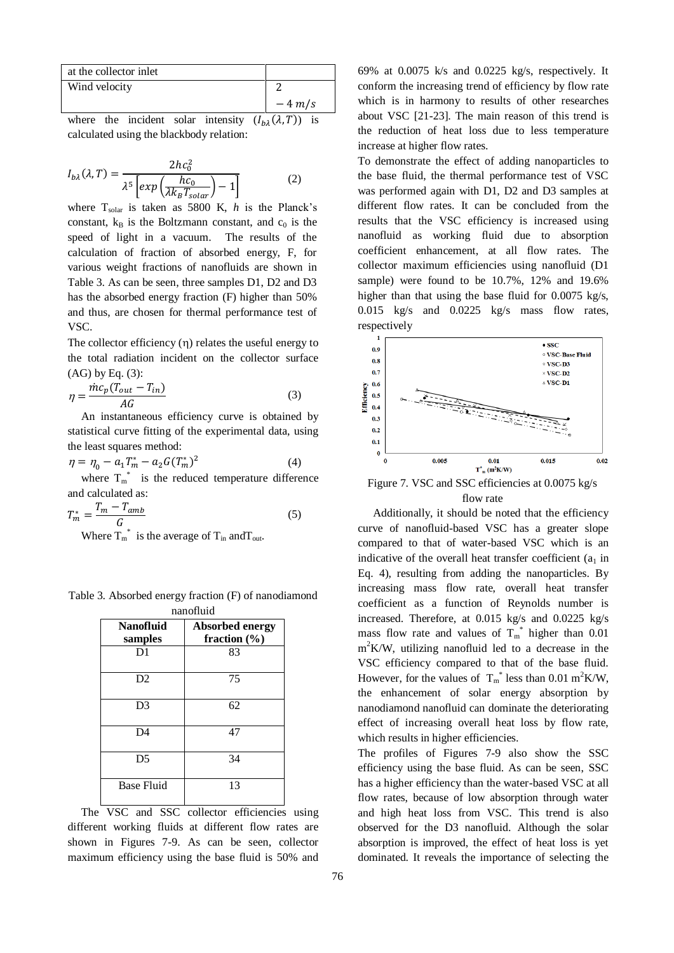| at the collector inlet |               |  |  |  |          |
|------------------------|---------------|--|--|--|----------|
|                        | Wind velocity |  |  |  |          |
|                        |               |  |  |  | $-4$ m/s |
|                        |               |  |  |  |          |

where the incident solar intensity  $(I_{h\lambda}(\lambda, T))$  is calculated using the blackbody relation:

$$
I_{b\lambda}(\lambda, T) = \frac{2hc_0^2}{\lambda^5 \left[ exp\left(\frac{hc_0}{\lambda k_B T_{solar}}\right) - 1\right]}
$$
(2)

where  $T_{solar}$  is taken as 5800 K,  $h$  is the Planck's constant,  $k_B$  is the Boltzmann constant, and  $c_0$  is the speed of light in a vacuum. The results of the calculation of fraction of absorbed energy, F, for various weight fractions of nanofluids are shown in Table 3. As can be seen, three samples D1, D2 and D3 has the absorbed energy fraction (F) higher than 50% and thus, are chosen for thermal performance test of VSC.

The collector efficiency  $(n)$  relates the useful energy to the total radiation incident on the collector surface  $(AG)$  by Eq.  $(3)$ :

$$
\eta = \frac{\dot{m}c_p(T_{out} - T_{in})}{AG}
$$
\n(3)

An instantaneous efficiency curve is obtained by statistical curve fitting of the experimental data, using the least squares method:

$$
\eta = \eta_0 - a_1 T_m^* - a_2 G(T_m^*)^2 \tag{4}
$$

where  $T_m^*$  is the reduced temperature difference and calculated as:

$$
T_m^* = \frac{T_m - T_{amb}}{G}
$$
 (5)

Where  $T_m^*$  is the average of  $T_{in}$  and  $T_{out}$ .

| Table 3. Absorbed energy fraction (F) of nanodiamond |
|------------------------------------------------------|
| nanofluid                                            |

| 11411011414                 |                                            |  |  |  |
|-----------------------------|--------------------------------------------|--|--|--|
| <b>Nanofluid</b><br>samples | <b>Absorbed energy</b><br>fraction $(\% )$ |  |  |  |
| D1                          | 83                                         |  |  |  |
| D2                          | 75                                         |  |  |  |
| D <sub>3</sub>              | 62                                         |  |  |  |
| D4                          | 47                                         |  |  |  |
| D <sub>5</sub>              | 34                                         |  |  |  |
| <b>Base Fluid</b>           | 13                                         |  |  |  |

The VSC and SSC collector efficiencies using different working fluids at different flow rates are shown in Figures 7-9. As can be seen, collector maximum efficiency using the base fluid is 50% and 69% at 0.0075 k/s and 0.0225 kg/s, respectively. It conform the increasing trend of efficiency by flow rate which is in harmony to results of other researches about VSC [21-23]. The main reason of this trend is the reduction of heat loss due to less temperature increase at higher flow rates.

To demonstrate the effect of adding nanoparticles to the base fluid, the thermal performance test of VSC was performed again with D1, D2 and D3 samples at different flow rates. It can be concluded from the results that the VSC efficiency is increased using nanofluid as working fluid due to absorption coefficient enhancement, at all flow rates. The collector maximum efficiencies using nanofluid (D1 sample) were found to be 10.7%, 12% and 19.6% higher than that using the base fluid for 0.0075 kg/s, 0.015 kg/s and 0.0225 kg/s mass flow rates, respectively



Figure 7. VSC and SSC efficiencies at 0.0075 kg/s flow rate

Additionally, it should be noted that the efficiency curve of nanofluid-based VSC has a greater slope compared to that of water-based VSC which is an indicative of the overall heat transfer coefficient  $(a_1$  in Eq. 4), resulting from adding the nanoparticles. By increasing mass flow rate, overall heat transfer coefficient as a function of Reynolds number is increased. Therefore, at 0.015 kg/s and 0.0225 kg/s mass flow rate and values of  $T_m^*$  higher than 0.01 m<sup>2</sup>K/W, utilizing nanofluid led to a decrease in the VSC efficiency compared to that of the base fluid. However, for the values of  $T_m^*$  less than 0.01 m<sup>2</sup>K/W, the enhancement of solar energy absorption by nanodiamond nanofluid can dominate the deteriorating effect of increasing overall heat loss by flow rate, which results in higher efficiencies.

The profiles of Figures 7-9 also show the SSC efficiency using the base fluid. As can be seen, SSC has a higher efficiency than the water-based VSC at all flow rates, because of low absorption through water and high heat loss from VSC. This trend is also observed for the D3 nanofluid. Although the solar absorption is improved, the effect of heat loss is yet dominated. It reveals the importance of selecting the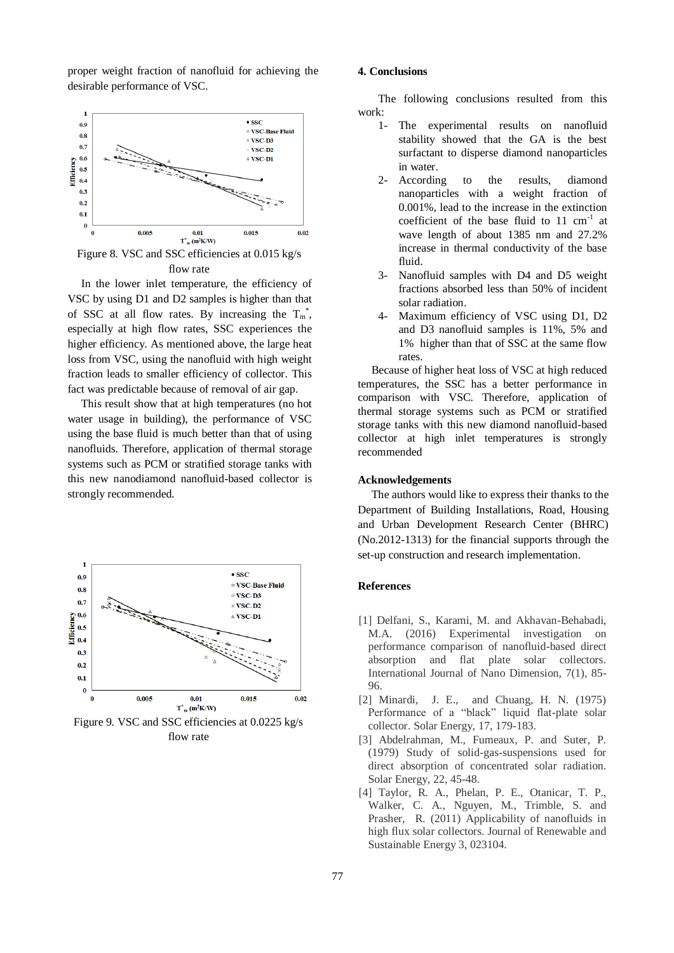proper weight fraction of nanofluid for achieving the desirable performance of VSC.



Figure 8. VSC and SSC efficiencies at 0.015 kg/s flow rate

In the lower inlet temperature, the efficiency of VSC by using D1 and D2 samples is higher than that of SSC at all flow rates. By increasing the  $T_m^*$ , especially at high flow rates, SSC experiences the higher efficiency. As mentioned above, the large heat loss from VSC, using the nanofluid with high weight fraction leads to smaller efficiency of collector. This fact was predictable because of removal of air gap.

This result show that at high temperatures (no hot water usage in building), the performance of VSC using the base fluid is much better than that of using nanofluids. Therefore, application of thermal storage systems such as PCM or stratified storage tanks with this new nanodiamond nanofluid-based collector is strongly recommended.



flow rate

#### **4. Conclusions**

The following conclusions resulted from this work:

- 1- The experimental results on nanofluid stability showed that the GA is the best surfactant to disperse diamond nanoparticles in water.
- 2- According to the results, diamond nanoparticles with a weight fraction of 0.001%, lead to the increase in the extinction coefficient of the base fluid to  $11 \text{ cm}^{-1}$  at wave length of about 1385 nm and 27.2% increase in thermal conductivity of the base fluid.
- 3- Nanofluid samples with D4 and D5 weight fractions absorbed less than 50% of incident solar radiation.
- 4- Maximum efficiency of VSC using D1, D2 and D3 nanofluid samples is 11%, 5% and 1% higher than that of SSC at the same flow rates.

Because of higher heat loss of VSC at high reduced temperatures, the SSC has a better performance in comparison with VSC. Therefore, application of thermal storage systems such as PCM or stratified storage tanks with this new diamond nanofluid-based collector at high inlet temperatures is strongly recommended

### **Acknowledgements**

The authors would like to express their thanks to the Department of Building Installations, Road, Housing and Urban Development Research Center (BHRC) (No.2012-1313) for the financial supports through the set-up construction and research implementation.

#### **References**

- [1] Delfani, S., Karami, M. and Akhavan-Behabadi, M.A. (2016) Experimental investigation on performance comparison of nanofluid-based direct absorption and flat plate solar collectors. International Journal of Nano Dimension, 7(1), 85- 96.
- [2] Minardi, J. E., and Chuang, H. N. (1975) Performance of a "black" liquid flat-plate solar collector. Solar Energy, 17, 179-183.
- [3] Abdelrahman, M., Fumeaux, P. and Suter, P. (1979) Study of solid-gas-suspensions used for direct absorption of concentrated solar radiation. Solar Energy, 22, 45-48.
- [4] Taylor, R. A., Phelan, P. E., Otanicar, T. P., Walker, C. A., Nguyen, M., Trimble, S. and Prasher, R. (2011) Applicability of nanofluids in high flux solar collectors. Journal of Renewable and Sustainable Energy 3, 023104.